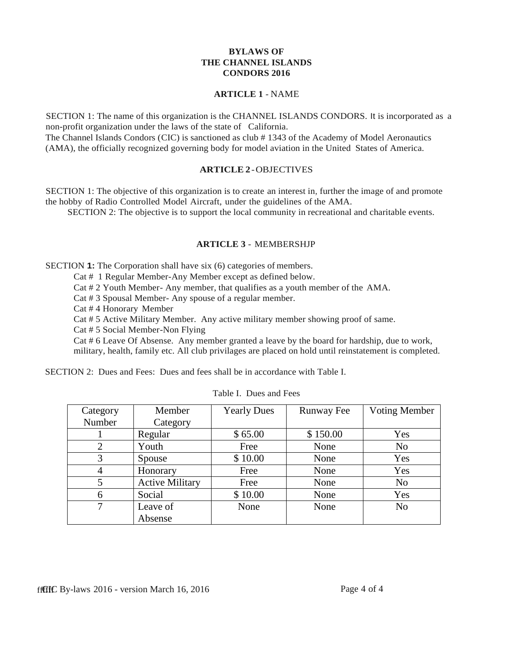### **BYLAWS OF THE CHANNEL ISLANDS CONDORS 2016**

#### **ARTICLE 1** - NAME

SECTION 1: The name of this organization is the CHANNEL ISLANDS CONDORS. It is incorporated as a non-profit organization under the laws of the state of California.

The Channel Islands Condors (CIC) is sanctioned as club # 1343 of the Academy of Model Aeronautics (AMA), the officially recognized governing body for model aviation in the United States of America.

#### **ARTICLE 2**-OBJECTIVES

SECTION 1: The objective of this organization is to create an interest in, further the image of and promote the hobby of Radio Controlled Model Aircraft, under the guidelines of the AMA.

SECTION 2: The objective is to support the local community in recreational and charitable events.

## **ARTICLE 3** - MEMBERSHJP

SECTION **1:** The Corporation shall have six (6) categories of members.

Cat # 1 Regular Member-Any Member except as defined below.

Cat # 2 Youth Member- Any member, that qualifies as a youth member of the AMA.

Cat # 3 Spousal Member- Any spouse of a regular member.

Cat # 4 Honorary Member

Cat # 5 Active Military Member. Any active military member showing proof of same.

Cat # 5 Social Member-Non Flying

Cat # 6 Leave Of Absense. Any member granted a leave by the board for hardship, due to work, military, health, family etc. All club privilages are placed on hold until reinstatement is completed.

SECTION 2: Dues and Fees: Dues and fees shall be in accordance with Table I.

| Category | Member                 | <b>Yearly Dues</b> | Runway Fee | Voting Member  |
|----------|------------------------|--------------------|------------|----------------|
| Number   | Category               |                    |            |                |
|          | Regular                | \$65.00            | \$150.00   | Yes            |
| 2        | Youth                  | Free               | None       | N <sub>0</sub> |
| 3        | Spouse                 | \$10.00            | None       | Yes            |
| 4        | Honorary               | Free               | None       | Yes            |
| 5        | <b>Active Military</b> | Free               | None       | N <sub>o</sub> |
| 6        | Social                 | \$10.00            | None       | Yes            |
| 7        | Leave of               | None               | None       | N <sub>0</sub> |
|          | Absense                |                    |            |                |

| Table I. Dues and Fees |  |  |  |
|------------------------|--|--|--|
|------------------------|--|--|--|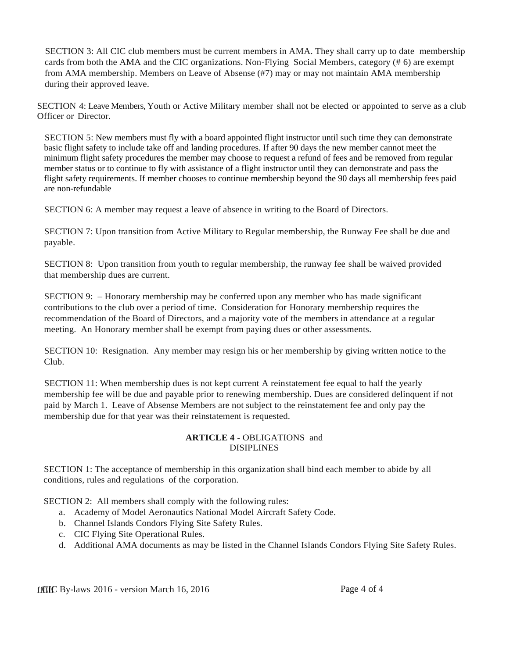SECTION 3: All CIC club members must be current members in AMA. They shall carry up to date membership cards from both the AMA and the CIC organizations. Non-Flying Social Members, category (# 6) are exempt from AMA membership. Members on Leave of Absense (#7) may or may not maintain AMA membership during their approved leave.

SECTION 4: Leave Members, Youth or Active Military member shall not be elected or appointed to serve as a club Officer or Director.

SECTION 5: New members must fly with a board appointed flight instructor until such time they can demonstrate basic flight safety to include take off and landing procedures. If after 90 days the new member cannot meet the minimum flight safety procedures the member may choose to request a refund of fees and be removed from regular member status or to continue to fly with assistance of a flight instructor until they can demonstrate and pass the flight safety requirements. If member chooses to continue membership beyond the 90 days all membership fees paid are non-refundable

SECTION 6: A member may request a leave of absence in writing to the Board of Directors.

SECTION 7: Upon transition from Active Military to Regular membership, the Runway Fee shall be due and payable.

SECTION 8: Upon transition from youth to regular membership, the runway fee shall be waived provided that membership dues are current.

SECTION 9: – Honorary membership may be conferred upon any member who has made significant contributions to the club over a period of time. Consideration for Honorary membership requires the recommendation of the Board of Directors, and a majority vote of the members in attendance at a regular meeting. An Honorary member shall be exempt from paying dues or other assessments.

SECTION 10: Resignation. Any member may resign his or her membership by giving written notice to the Club.

SECTION 11: When membership dues is not kept current A reinstatement fee equal to half the yearly membership fee will be due and payable prior to renewing membership. Dues are considered delinquent if not paid by March 1. Leave of Absense Members are not subject to the reinstatement fee and only pay the membership due for that year was their reinstatement is requested.

#### **ARTICLE 4** - OBLIGATIONS and DISIPLINES

SECTION 1: The acceptance of membership in this organization shall bind each member to abide by all conditions, rules and regulations of the corporation.

SECTION 2: All members shall comply with the following rules:

- a. Academy of Model Aeronautics National Model Aircraft Safety Code.
- b. Channel Islands Condors Flying Site Safety Rules.
- c. CIC Flying Site Operational Rules.
- d. Additional AMA documents as may be listed in the Channel Islands Condors Flying Site Safety Rules.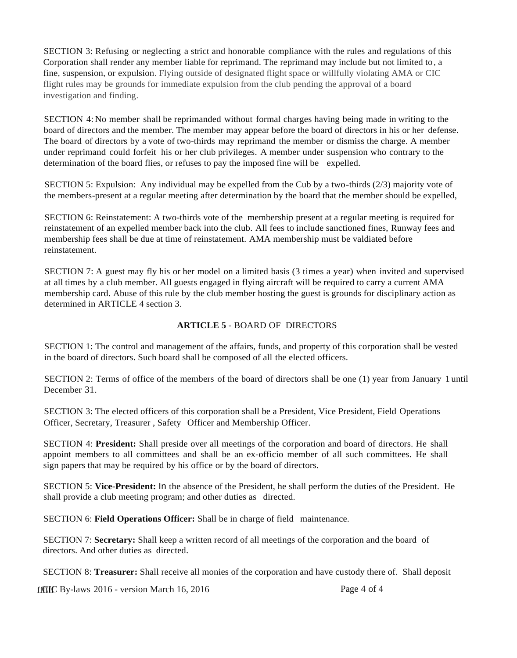SECTION 3: Refusing or neglecting a strict and honorable compliance with the rules and regulations of this Corporation shall render any member liable for reprimand. The reprimand may include but not limited to, a fine, suspension, or expulsion. Flying outside of designated flight space or willfully violating AMA or CIC flight rules may be grounds for immediate expulsion from the club pending the approval of a board investigation and finding.

SECTION 4: No member shall be reprimanded without formal charges having being made in writing to the board of directors and the member. The member may appear before the board of directors in his or her defense. The board of directors by a vote of two-thirds may reprimand the member or dismiss the charge. A member under reprimand could forfeit his or her club privileges. A member under suspension who contrary to the determination of the board flies, or refuses to pay the imposed fine will be expelled.

SECTION 5: Expulsion: Any individual may be expelled from the Cub by a two-thirds (2/3) majority vote of the members-present at a regular meeting after determination by the board that the member should be expelled,

SECTION 6: Reinstatement: A two-thirds vote of the membership present at a regular meeting is required for reinstatement of an expelled member back into the club. All fees to include sanctioned fines, Runway fees and membership fees shall be due at time of reinstatement. AMA membership must be valdiated before reinstatement.

SECTION 7: A guest may fly his or her model on a limited basis (3 times a year) when invited and supervised at all times by a club member. All guests engaged in flying aircraft will be required to carry a current AMA membership card. Abuse of this rule by the club member hosting the guest is grounds for disciplinary action as determined in ARTICLE 4 section 3.

#### **ARTICLE 5** - BOARD OF DIRECTORS

SECTION 1: The control and management of the affairs, funds, and property of this corporation shall be vested in the board of directors. Such board shall be composed of all the elected officers.

SECTION 2: Terms of office of the members of the board of directors shall be one (1) year from January 1 until December 31.

SECTION 3: The elected officers of this corporation shall be a President, Vice President, Field Operations Officer, Secretary, Treasurer , Safety Officer and Membership Officer.

SECTION 4: **President:** Shall preside over all meetings of the corporation and board of directors. He shall appoint members to all committees and shall be an ex-officio member of all such committees. He shall sign papers that may be required by his office or by the board of directors.

SECTION 5: **Vice-President:** In the absence of the President, he shall perform the duties of the President. He shall provide a club meeting program; and other duties as directed.

SECTION 6: **Field Operations Officer:** Shall be in charge of field maintenance.

SECTION 7: **Secretary:** Shall keep a written record of all meetings of the corporation and the board of directors. And other duties as directed.

SECTION 8: **Treasurer:** Shall receive all monies of the corporation and have custody there of. Shall deposit

ffffffff By-laws 2016 - version March 16, 2016 Page 4 of 4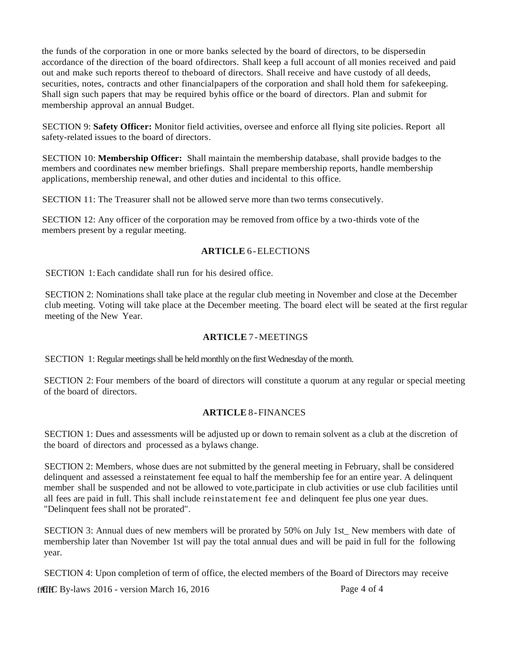the funds of the corporation in one or more banks selected by the board of directors, to be dispersedin accordance of the direction of the board ofdirectors. Shall keep a full account of all monies received and paid out and make such reports thereof to theboard of directors. Shall receive and have custody of all deeds, securities, notes, contracts and other financialpapers of the corporation and shall hold them for safekeeping. Shall sign such papers that may be required byhis office or the board of directors. Plan and submit for membership approval an annual Budget.

SECTION 9: **Safety Officer:** Monitor field activities, oversee and enforce all flying site policies. Report all safety-related issues to the board of directors.

SECTION 10: **Membership Officer:** Shall maintain the membership database, shall provide badges to the members and coordinates new member briefings. Shall prepare membership reports, handle membership applications, membership renewal, and other duties and incidental to this office.

SECTION 11: The Treasurer shall not be allowed serve more than two terms consecutively.

SECTION 12: Any officer of the corporation may be removed from office by a two-thirds vote of the members present by a regular meeting.

### **ARTICLE** 6-ELECTIONS

SECTION 1:Each candidate shall run for his desired office.

SECTION 2: Nominations shall take place at the regular club meeting in November and close at the December club meeting. Voting will take place at the December meeting. The board elect will be seated at the first regular meeting of the New Year.

### **ARTICLE** 7-MEETINGS

SECTION 1: Regular meetings shall be held monthly on the first Wednesday of the month.

SECTION 2: Four members of the board of directors will constitute a quorum at any regular or special meeting of the board of directors.

### **ARTICLE** 8-FINANCES

SECTION 1: Dues and assessments will be adjusted up or down to remain solvent as a club at the discretion of the board of directors and processed as a bylaws change.

SECTION 2: Members, whose dues are not submitted by the general meeting in February, shall be considered delinquent and assessed a reinstatement fee equal to half the membership fee for an entire year. A delinquent member shall be suspended and not be allowed to vote,participate in club activities or use club facilities until all fees are paid in full. This shall include reinstatement fee and delinquent fee plus one year dues. "Delinquent fees shall not be prorated".

SECTION 3: Annual dues of new members will be prorated by 50% on July 1st. New members with date of membership later than November 1st will pay the total annual dues and will be paid in full for the following year.

SECTION 4: Upon completion of term of office, the elected members of the Board of Directors may receive

 $f$ fffff $f$  By-laws 2016 - version March 16, 2016 Page 4 of 4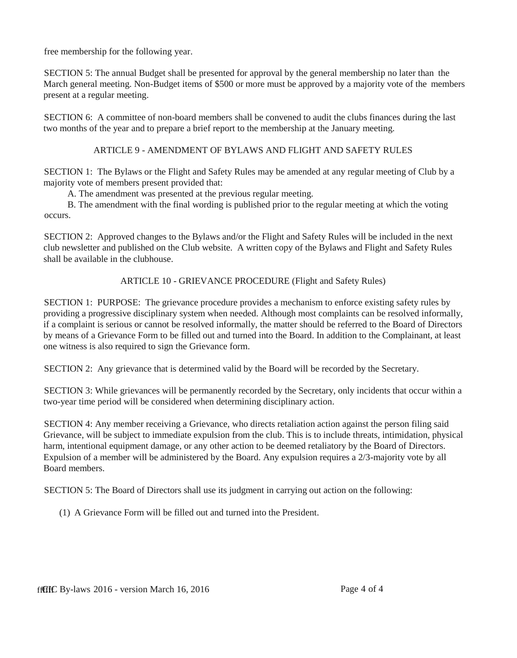free membership for the following year.

SECTION 5: The annual Budget shall be presented for approval by the general membership no later than the March general meeting. Non-Budget items of \$500 or more must be approved by a majority vote of the members present at a regular meeting.

SECTION 6: A committee of non-board members shall be convened to audit the clubs finances during the last two months of the year and to prepare a brief report to the membership at the January meeting.

# ARTICLE 9 - AMENDMENT OF BYLAWS AND FLIGHT AND SAFETY RULES

SECTION 1: The Bylaws or the Flight and Safety Rules may be amended at any regular meeting of Club by a majority vote of members present provided that:

A. The amendment was presented at the previous regular meeting.

B. The amendment with the final wording is published prior to the regular meeting at which the voting occurs.

SECTION 2: Approved changes to the Bylaws and/or the Flight and Safety Rules will be included in the next club newsletter and published on the Club website. A written copy of the Bylaws and Flight and Safety Rules shall be available in the clubhouse.

ARTICLE 10 - GRIEVANCE PROCEDURE (Flight and Safety Rules)

SECTION 1: PURPOSE: The grievance procedure provides a mechanism to enforce existing safety rules by providing a progressive disciplinary system when needed. Although most complaints can be resolved informally, if a complaint is serious or cannot be resolved informally, the matter should be referred to the Board of Directors by means of a Grievance Form to be filled out and turned into the Board. In addition to the Complainant, at least one witness is also required to sign the Grievance form.

SECTION 2: Any grievance that is determined valid by the Board will be recorded by the Secretary.

SECTION 3: While grievances will be permanently recorded by the Secretary, only incidents that occur within a two-year time period will be considered when determining disciplinary action.

SECTION 4: Any member receiving a Grievance, who directs retaliation action against the person filing said Grievance, will be subject to immediate expulsion from the club. This is to include threats, intimidation, physical harm, intentional equipment damage, or any other action to be deemed retaliatory by the Board of Directors. Expulsion of a member will be administered by the Board. Any expulsion requires a 2/3-majority vote by all Board members.

SECTION 5: The Board of Directors shall use its judgment in carrying out action on the following:

(1) A Grievance Form will be filled out and turned into the President.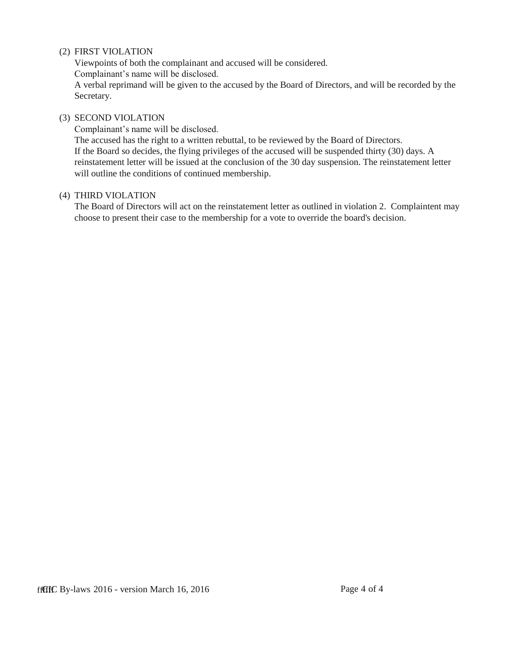### (2) FIRST VIOLATION

Viewpoints of both the complainant and accused will be considered. Complainant's name will be disclosed.

A verbal reprimand will be given to the accused by the Board of Directors, and will be recorded by the Secretary.

#### (3) SECOND VIOLATION

Complainant's name will be disclosed. The accused has the right to a written rebuttal, to be reviewed by the Board of Directors. If the Board so decides, the flying privileges of the accused will be suspended thirty (30) days. A reinstatement letter will be issued at the conclusion of the 30 day suspension. The reinstatement letter will outline the conditions of continued membership.

#### (4) THIRD VIOLATION

The Board of Directors will act on the reinstatement letter as outlined in violation 2. Complaintent may choose to present their case to the membership for a vote to override the board's decision.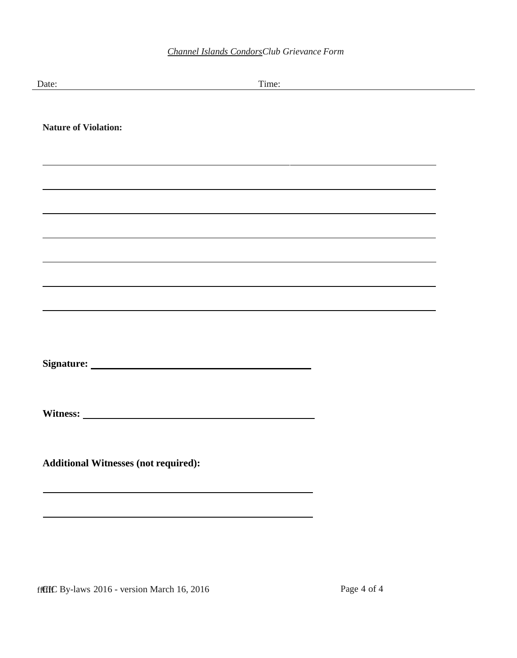| Date:                                                                                                                | Time:<br><u> 1980 - Johann Barn, mars ann an t-Amhain Aonaich an t-Aonaich an t-Aonaich ann an t-Aonaich ann an t-Aonaich</u> |
|----------------------------------------------------------------------------------------------------------------------|-------------------------------------------------------------------------------------------------------------------------------|
| <b>Nature of Violation:</b>                                                                                          |                                                                                                                               |
| <u> 1989 - Andrea Santa Andrea Andrea Andrea Andrea Andrea Andrea Andrea Andrea Andrea Andrea Andrea Andrea Andr</u> |                                                                                                                               |
|                                                                                                                      |                                                                                                                               |
|                                                                                                                      |                                                                                                                               |
|                                                                                                                      |                                                                                                                               |
|                                                                                                                      |                                                                                                                               |
| <b>Additional Witnesses (not required):</b>                                                                          |                                                                                                                               |
|                                                                                                                      |                                                                                                                               |